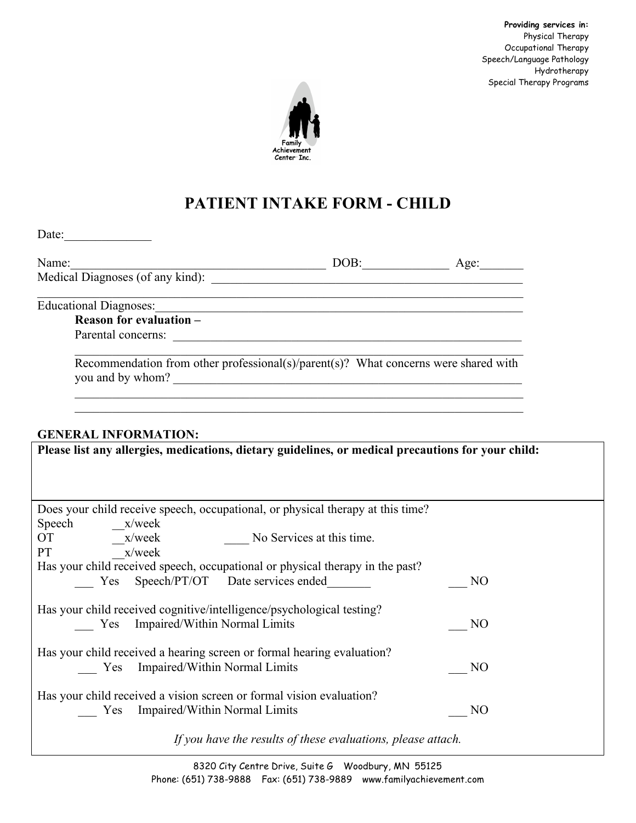**Providing services in:** Physical Therapy Occupational Therapy Speech/Language Pathology Hydrotherapy Special Therapy Programs



# **PATIENT INTAKE FORM - CHILD**

| Date: $\overline{ }$ |  |  |  |
|----------------------|--|--|--|
|                      |  |  |  |
|                      |  |  |  |

| Name:                            | ЭB | Age: |
|----------------------------------|----|------|
| Medical Diagnoses (of any kind): |    |      |

 $\mathcal{L}_\mathcal{L} = \{ \mathcal{L}_\mathcal{L} = \{ \mathcal{L}_\mathcal{L} = \{ \mathcal{L}_\mathcal{L} = \{ \mathcal{L}_\mathcal{L} = \{ \mathcal{L}_\mathcal{L} = \{ \mathcal{L}_\mathcal{L} = \{ \mathcal{L}_\mathcal{L} = \{ \mathcal{L}_\mathcal{L} = \{ \mathcal{L}_\mathcal{L} = \{ \mathcal{L}_\mathcal{L} = \{ \mathcal{L}_\mathcal{L} = \{ \mathcal{L}_\mathcal{L} = \{ \mathcal{L}_\mathcal{L} = \{ \mathcal{L}_\mathcal{$ 

Educational Diagnoses:\_\_\_\_\_\_\_\_\_\_\_\_\_\_\_\_\_\_\_\_\_\_\_\_\_\_\_\_\_\_\_\_\_\_\_\_\_\_\_\_\_\_\_\_\_\_\_\_\_\_\_\_\_\_\_\_\_\_\_

**Reason for evaluation –** Parental concerns:

Recommendation from other professional(s)/parent(s)? What concerns were shared with you and by whom? \_\_\_\_\_\_\_\_\_\_\_\_\_\_\_\_\_\_\_\_\_\_\_\_\_\_\_\_\_\_\_\_\_\_\_\_\_\_\_\_\_\_\_\_\_\_\_\_\_\_\_\_\_\_\_\_

 $\mathcal{L}_\text{max}$  , and the contribution of the contribution of the contribution of the contribution of the contribution of the contribution of the contribution of the contribution of the contribution of the contribution of t

 $\mathcal{L}_\text{max} = \mathcal{L}_\text{max} = \mathcal{L}_\text{max} = \mathcal{L}_\text{max} = \mathcal{L}_\text{max} = \mathcal{L}_\text{max} = \mathcal{L}_\text{max} = \mathcal{L}_\text{max} = \mathcal{L}_\text{max} = \mathcal{L}_\text{max} = \mathcal{L}_\text{max} = \mathcal{L}_\text{max} = \mathcal{L}_\text{max} = \mathcal{L}_\text{max} = \mathcal{L}_\text{max} = \mathcal{L}_\text{max} = \mathcal{L}_\text{max} = \mathcal{L}_\text{max} = \mathcal{$ 

## **GENERAL INFORMATION:**

| Please list any allergies, medications, dietary guidelines, or medical precautions for your child: |  |  |  |  |  |
|----------------------------------------------------------------------------------------------------|--|--|--|--|--|
|                                                                                                    |  |  |  |  |  |
|                                                                                                    |  |  |  |  |  |
| Does your child receive speech, occupational, or physical therapy at this time?                    |  |  |  |  |  |
| Speech x/week                                                                                      |  |  |  |  |  |
| OT TO<br>$x$ /week $\qquad \qquad$ No Services at this time.                                       |  |  |  |  |  |
| x/week<br>PT FOR                                                                                   |  |  |  |  |  |
| Has your child received speech, occupational or physical therapy in the past?                      |  |  |  |  |  |
| Yes Speech/PT/OT Date services ended<br>N <sub>O</sub>                                             |  |  |  |  |  |
|                                                                                                    |  |  |  |  |  |
| Has your child received cognitive/intelligence/psychological testing?                              |  |  |  |  |  |
| Yes Impaired/Within Normal Limits<br>N <sub>O</sub>                                                |  |  |  |  |  |
|                                                                                                    |  |  |  |  |  |
| Has your child received a hearing screen or formal hearing evaluation?                             |  |  |  |  |  |
| Yes Impaired/Within Normal Limits<br>N <sub>O</sub>                                                |  |  |  |  |  |
|                                                                                                    |  |  |  |  |  |
| Has your child received a vision screen or formal vision evaluation?                               |  |  |  |  |  |
| Yes Impaired/Within Normal Limits<br>N <sub>O</sub>                                                |  |  |  |  |  |
|                                                                                                    |  |  |  |  |  |
| If you have the results of these evaluations, please attach.                                       |  |  |  |  |  |

8320 City Centre Drive, Suite G Woodbury, MN 55125 Phone: (651) 738-9888 Fax: (651) 738-9889 www.familyachievement.com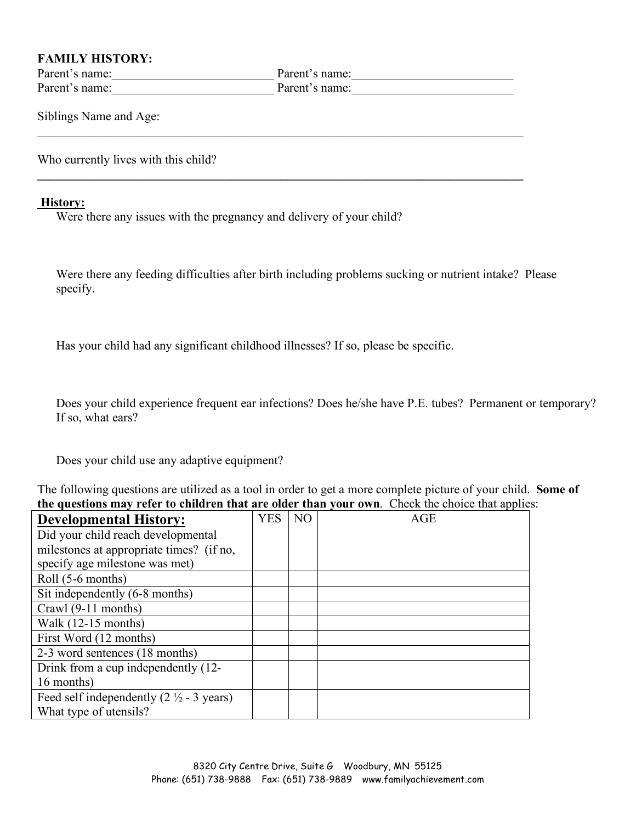### **FAMILY HISTORY:**

Parent's name:\_\_\_\_\_\_\_\_\_\_\_\_\_\_\_\_\_\_\_\_\_\_\_\_\_\_ Parent's name:\_\_\_\_\_\_\_\_\_\_\_\_\_\_\_\_\_\_\_\_\_\_\_\_\_\_ Parent's name: The Parent's name:

 $\mathcal{L}_\mathcal{L} = \{ \mathcal{L}_\mathcal{L} = \{ \mathcal{L}_\mathcal{L} = \{ \mathcal{L}_\mathcal{L} = \{ \mathcal{L}_\mathcal{L} = \{ \mathcal{L}_\mathcal{L} = \{ \mathcal{L}_\mathcal{L} = \{ \mathcal{L}_\mathcal{L} = \{ \mathcal{L}_\mathcal{L} = \{ \mathcal{L}_\mathcal{L} = \{ \mathcal{L}_\mathcal{L} = \{ \mathcal{L}_\mathcal{L} = \{ \mathcal{L}_\mathcal{L} = \{ \mathcal{L}_\mathcal{L} = \{ \mathcal{L}_\mathcal{$ 

 $\mathcal{L}_\mathcal{L} = \{ \mathcal{L}_\mathcal{L} = \{ \mathcal{L}_\mathcal{L} = \{ \mathcal{L}_\mathcal{L} = \{ \mathcal{L}_\mathcal{L} = \{ \mathcal{L}_\mathcal{L} = \{ \mathcal{L}_\mathcal{L} = \{ \mathcal{L}_\mathcal{L} = \{ \mathcal{L}_\mathcal{L} = \{ \mathcal{L}_\mathcal{L} = \{ \mathcal{L}_\mathcal{L} = \{ \mathcal{L}_\mathcal{L} = \{ \mathcal{L}_\mathcal{L} = \{ \mathcal{L}_\mathcal{L} = \{ \mathcal{L}_\mathcal{$ 

Siblings Name and Age:

Who currently lives with this child?

#### **History:**

Were there any issues with the pregnancy and delivery of your child?

Were there any feeding difficulties after birth including problems sucking or nutrient intake? Please specify.

Has your child had any significant childhood illnesses? If so, please be specific.

Does your child experience frequent ear infections? Does he/she have P.E. tubes? Permanent or temporary? If so, what ears?

Does your child use any adaptive equipment?

The following questions are utilized as a tool in order to get a more complete picture of your child. **Some of the questions may refer to children that are older than your own**. Check the choice that applies:

| <b>Developmental History:</b>                               | <b>YES</b> | N <sub>O</sub> | AGE |
|-------------------------------------------------------------|------------|----------------|-----|
| Did your child reach developmental                          |            |                |     |
| milestones at appropriate times? (if no,                    |            |                |     |
| specify age milestone was met)                              |            |                |     |
| Roll (5-6 months)                                           |            |                |     |
| Sit independently (6-8 months)                              |            |                |     |
| Crawl (9-11 months)                                         |            |                |     |
| Walk $(12-15$ months)                                       |            |                |     |
| First Word (12 months)                                      |            |                |     |
| 2-3 word sentences (18 months)                              |            |                |     |
| Drink from a cup independently (12-                         |            |                |     |
| 16 months)                                                  |            |                |     |
| Feed self independently $(2 \frac{1}{2} - 3 \text{ years})$ |            |                |     |
| What type of utensils?                                      |            |                |     |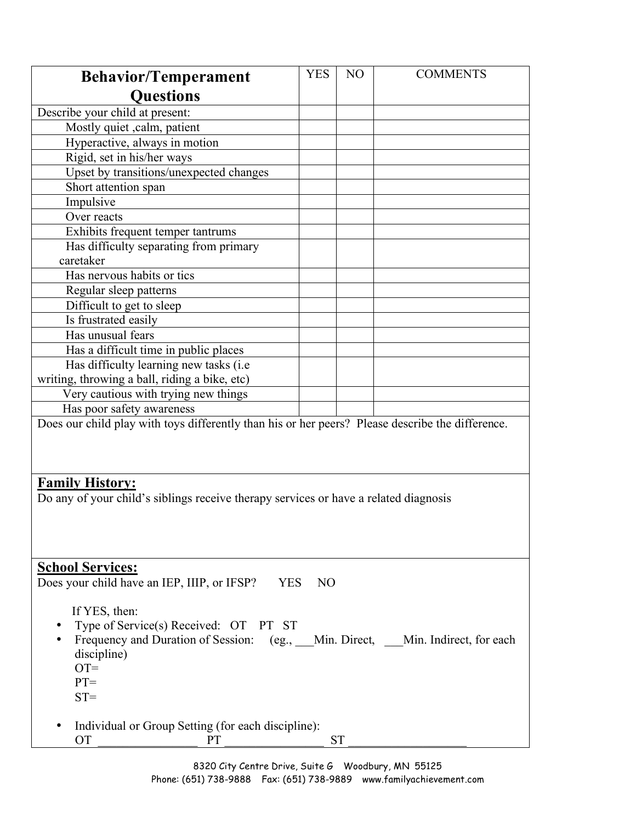| <b>Behavior/Temperament</b>                                                                      | <b>YES</b> | N <sub>O</sub> | <b>COMMENTS</b> |  |  |
|--------------------------------------------------------------------------------------------------|------------|----------------|-----------------|--|--|
| <b>Questions</b>                                                                                 |            |                |                 |  |  |
| Describe your child at present:                                                                  |            |                |                 |  |  |
| Mostly quiet , calm, patient                                                                     |            |                |                 |  |  |
| Hyperactive, always in motion                                                                    |            |                |                 |  |  |
| Rigid, set in his/her ways                                                                       |            |                |                 |  |  |
| Upset by transitions/unexpected changes                                                          |            |                |                 |  |  |
| Short attention span                                                                             |            |                |                 |  |  |
| Impulsive                                                                                        |            |                |                 |  |  |
| Over reacts                                                                                      |            |                |                 |  |  |
| Exhibits frequent temper tantrums                                                                |            |                |                 |  |  |
| Has difficulty separating from primary                                                           |            |                |                 |  |  |
| caretaker                                                                                        |            |                |                 |  |  |
| Has nervous habits or tics                                                                       |            |                |                 |  |  |
| Regular sleep patterns                                                                           |            |                |                 |  |  |
| Difficult to get to sleep                                                                        |            |                |                 |  |  |
| Is frustrated easily                                                                             |            |                |                 |  |  |
| Has unusual fears                                                                                |            |                |                 |  |  |
| Has a difficult time in public places                                                            |            |                |                 |  |  |
| Has difficulty learning new tasks (i.e.                                                          |            |                |                 |  |  |
| writing, throwing a ball, riding a bike, etc)                                                    |            |                |                 |  |  |
| Very cautious with trying new things                                                             |            |                |                 |  |  |
| Has poor safety awareness                                                                        |            |                |                 |  |  |
| Does our child play with toys differently than his or her peers? Please describe the difference. |            |                |                 |  |  |
|                                                                                                  |            |                |                 |  |  |
|                                                                                                  |            |                |                 |  |  |
|                                                                                                  |            |                |                 |  |  |
| <b>Family History:</b>                                                                           |            |                |                 |  |  |
| Do any of your child's siblings receive therapy services or have a related diagnosis             |            |                |                 |  |  |
|                                                                                                  |            |                |                 |  |  |
|                                                                                                  |            |                |                 |  |  |
|                                                                                                  |            |                |                 |  |  |
| <b>School Services:</b>                                                                          |            |                |                 |  |  |
| Does your child have an IEP, IIIP, or IFSP?<br><b>YES</b><br>N <sub>O</sub>                      |            |                |                 |  |  |
|                                                                                                  |            |                |                 |  |  |
| If YES, then:                                                                                    |            |                |                 |  |  |
| Type of Service(s) Received: OT PT ST                                                            |            |                |                 |  |  |
| Frequency and Duration of Session: (eg., Min. Direct, Min. Indirect, for each                    |            |                |                 |  |  |
| discipline)                                                                                      |            |                |                 |  |  |
| $OT =$                                                                                           |            |                |                 |  |  |
| $PT =$                                                                                           |            |                |                 |  |  |
| $ST =$                                                                                           |            |                |                 |  |  |
|                                                                                                  |            |                |                 |  |  |
| Individual or Group Setting (for each discipline):                                               |            |                |                 |  |  |
| <b>OT</b><br><b>PT</b>                                                                           |            | <b>ST</b>      |                 |  |  |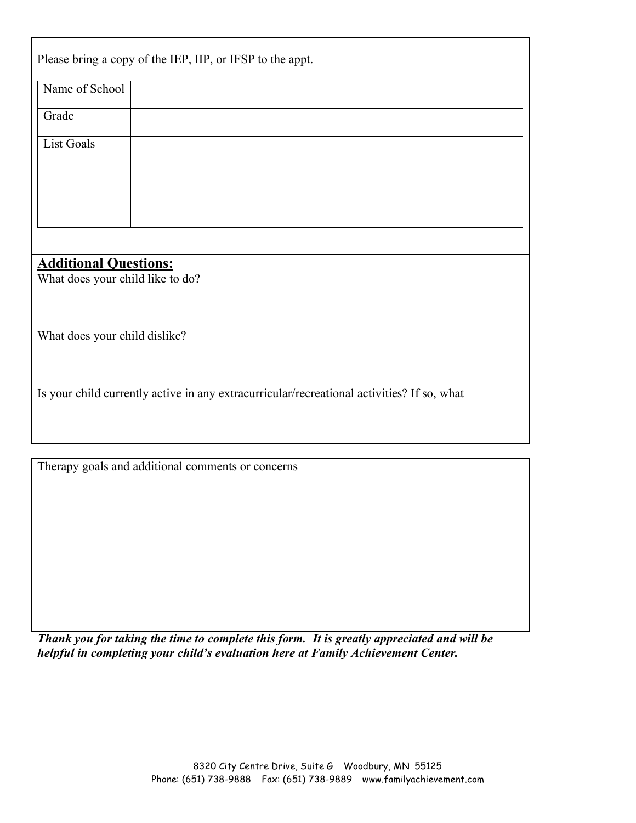|                                                                                            | Please bring a copy of the IEP, IIP, or IFSP to the appt. |  |  |  |  |
|--------------------------------------------------------------------------------------------|-----------------------------------------------------------|--|--|--|--|
| Name of School                                                                             |                                                           |  |  |  |  |
| Grade                                                                                      |                                                           |  |  |  |  |
| <b>List Goals</b>                                                                          |                                                           |  |  |  |  |
|                                                                                            |                                                           |  |  |  |  |
| <b>Additional Questions:</b><br>What does your child like to do?                           |                                                           |  |  |  |  |
| What does your child dislike?                                                              |                                                           |  |  |  |  |
| Is your child currently active in any extracurricular/recreational activities? If so, what |                                                           |  |  |  |  |
|                                                                                            |                                                           |  |  |  |  |
|                                                                                            | Therapy goals and additional comments or concerns         |  |  |  |  |

*Thank you for taking the time to complete this form. It is greatly appreciated and will be helpful in completing your child's evaluation here at Family Achievement Center.*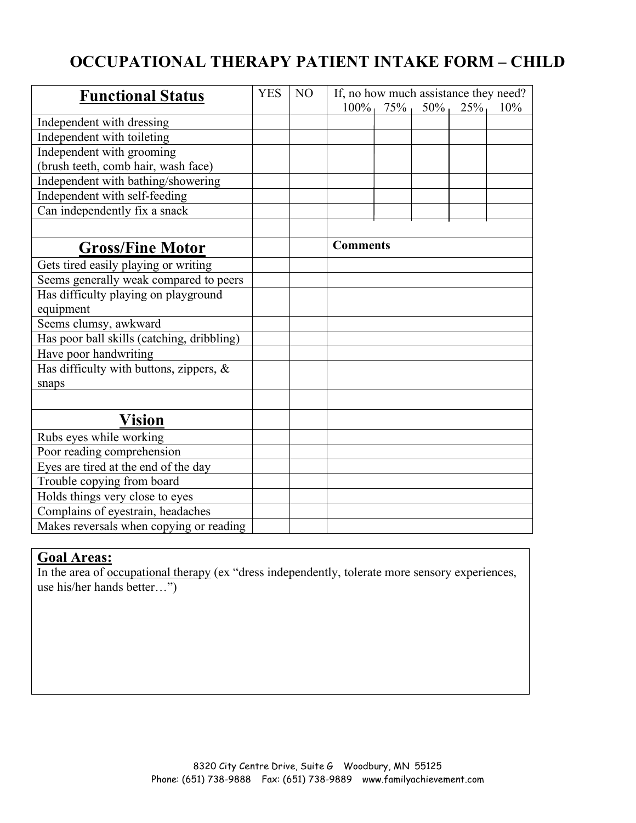## **OCCUPATIONAL THERAPY PATIENT INTAKE FORM – CHILD**

| <b>Functional Status</b>                   | <b>YES</b> | N <sub>O</sub> | If, no how much assistance they need? |  |
|--------------------------------------------|------------|----------------|---------------------------------------|--|
|                                            |            |                | $100\%$<br>75%<br>50%<br>25%<br>10%   |  |
| Independent with dressing                  |            |                |                                       |  |
| Independent with toileting                 |            |                |                                       |  |
| Independent with grooming                  |            |                |                                       |  |
| (brush teeth, comb hair, wash face)        |            |                |                                       |  |
| Independent with bathing/showering         |            |                |                                       |  |
| Independent with self-feeding              |            |                |                                       |  |
| Can independently fix a snack              |            |                |                                       |  |
|                                            |            |                |                                       |  |
| <b>Gross/Fine Motor</b>                    |            |                | <b>Comments</b>                       |  |
| Gets tired easily playing or writing       |            |                |                                       |  |
| Seems generally weak compared to peers     |            |                |                                       |  |
| Has difficulty playing on playground       |            |                |                                       |  |
| equipment                                  |            |                |                                       |  |
| Seems clumsy, awkward                      |            |                |                                       |  |
| Has poor ball skills (catching, dribbling) |            |                |                                       |  |
| Have poor handwriting                      |            |                |                                       |  |
| Has difficulty with buttons, zippers, $\&$ |            |                |                                       |  |
| snaps                                      |            |                |                                       |  |
|                                            |            |                |                                       |  |
| <b>Vision</b>                              |            |                |                                       |  |
| Rubs eyes while working                    |            |                |                                       |  |
| Poor reading comprehension                 |            |                |                                       |  |
| Eyes are tired at the end of the day       |            |                |                                       |  |
| Trouble copying from board                 |            |                |                                       |  |
| Holds things very close to eyes            |            |                |                                       |  |
| Complains of eyestrain, headaches          |            |                |                                       |  |
| Makes reversals when copying or reading    |            |                |                                       |  |

### **Goal Areas:**

In the area of <u>occupational therapy</u> (ex "dress independently, tolerate more sensory experiences, use his/her hands better…")